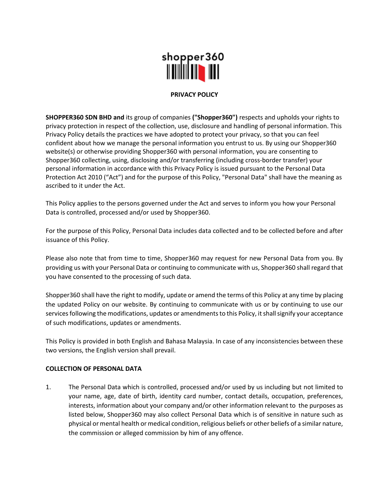

# **PRIVACY POLICY**

**SHOPPER360 SDN BHD and** its group of companies **("Shopper360")** respects and upholds your rights to privacy protection in respect of the collection, use, disclosure and handling of personal information. This Privacy Policy details the practices we have adopted to protect your privacy, so that you can feel confident about how we manage the personal information you entrust to us. By using our Shopper360 website(s) or otherwise providing Shopper360 with personal information, you are consenting to Shopper360 collecting, using, disclosing and/or transferring (including cross-border transfer) your personal information in accordance with this Privacy Policy is issued pursuant to the Personal Data Protection Act 2010 ("Act") and for the purpose of this Policy, "Personal Data" shall have the meaning as ascribed to it under the Act.

This Policy applies to the persons governed under the Act and serves to inform you how your Personal Data is controlled, processed and/or used by Shopper360.

For the purpose of this Policy, Personal Data includes data collected and to be collected before and after issuance of this Policy.

Please also note that from time to time, Shopper360 may request for new Personal Data from you. By providing us with your Personal Data or continuing to communicate with us, Shopper360 shall regard that you have consented to the processing of such data.

Shopper360 shall have the right to modify, update or amend the terms of this Policy at any time by placing the updated Policy on our website. By continuing to communicate with us or by continuing to use our services following the modifications, updates or amendments to this Policy, it shall signify your acceptance of such modifications, updates or amendments.

This Policy is provided in both English and Bahasa Malaysia. In case of any inconsistencies between these two versions, the English version shall prevail.

## **COLLECTION OF PERSONAL DATA**

1. The Personal Data which is controlled, processed and/or used by us including but not limited to your name, age, date of birth, identity card number, contact details, occupation, preferences, interests, information about your company and/or other information relevant to the purposes as listed below, Shopper360 may also collect Personal Data which is of sensitive in nature such as physical or mental health or medical condition, religious beliefs or other beliefs of a similar nature, the commission or alleged commission by him of any offence.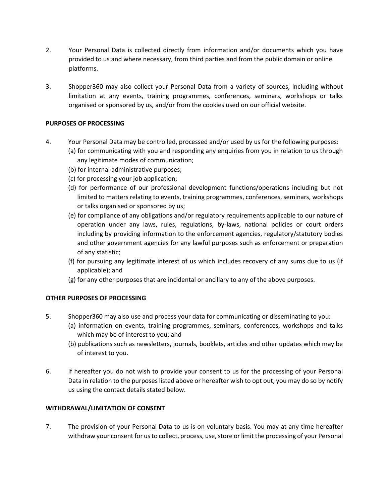- 2. Your Personal Data is collected directly from information and/or documents which you have provided to us and where necessary, from third parties and from the public domain or online platforms.
- 3. Shopper360 may also collect your Personal Data from a variety of sources, including without limitation at any events, training programmes, conferences, seminars, workshops or talks organised or sponsored by us, and/or from the cookies used on our official website.

# **PURPOSES OF PROCESSING**

- 4. Your Personal Data may be controlled, processed and/or used by us for the following purposes:
	- (a) for communicating with you and responding any enquiries from you in relation to us through any legitimate modes of communication;
	- (b) for internal administrative purposes;
	- (c) for processing your job application;
	- (d) for performance of our professional development functions/operations including but not limited to matters relating to events, training programmes, conferences, seminars, workshops or talks organised or sponsored by us;
	- (e) for compliance of any obligations and/or regulatory requirements applicable to our nature of operation under any laws, rules, regulations, by-laws, national policies or court orders including by providing information to the enforcement agencies, regulatory/statutory bodies and other government agencies for any lawful purposes such as enforcement or preparation of any statistic;
	- (f) for pursuing any legitimate interest of us which includes recovery of any sums due to us (if applicable); and
	- (g) for any other purposes that are incidental or ancillary to any of the above purposes.

## **OTHER PURPOSES OF PROCESSING**

- 5. Shopper360 may also use and process your data for communicating or disseminating to you:
	- (a) information on events, training programmes, seminars, conferences, workshops and talks which may be of interest to you; and
	- (b) publications such as newsletters, journals, booklets, articles and other updates which may be of interest to you.
- 6. If hereafter you do not wish to provide your consent to us for the processing of your Personal Data in relation to the purposes listed above or hereafter wish to opt out, you may do so by notify us using the contact details stated below.

## **WITHDRAWAL/LIMITATION OF CONSENT**

7. The provision of your Personal Data to us is on voluntary basis. You may at any time hereafter withdraw your consent for us to collect, process, use, store or limit the processing of your Personal